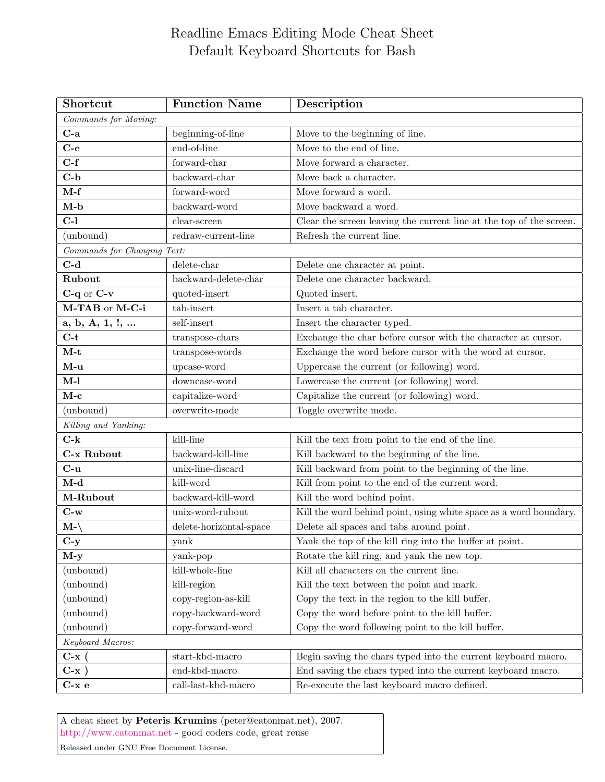## Readline Emacs Editing Mode Cheat Sheet Default Keyboard Shortcuts for Bash

| Shortcut                    | <b>Function Name</b>         | Description                                                         |  |
|-----------------------------|------------------------------|---------------------------------------------------------------------|--|
| Commands for Moving:        |                              |                                                                     |  |
| $C-a$                       | beginning-of-line            | Move to the beginning of line.                                      |  |
| $C-e$                       | end-of-line                  | Move to the end of line.                                            |  |
| $C-f$                       | forward-char                 | Move forward a character.                                           |  |
| $C-b$                       | backward-char                | Move back a character.                                              |  |
| $M-f$                       | forward-word                 | Move forward a word.                                                |  |
| $M-b$                       | backward-word                | Move backward a word.                                               |  |
| $C-1$                       | clear-screen                 | Clear the screen leaving the current line at the top of the screen. |  |
| (unbound)                   | redraw-current-line          | Refresh the current line.                                           |  |
| Commands for Changing Text: |                              |                                                                     |  |
| $C-d$                       | delete-char                  | Delete one character at point.                                      |  |
| Rubout                      | backward-delete-char         | Delete one character backward.                                      |  |
| $C-q$ or $C-v$              | quoted-insert                | Quoted insert.                                                      |  |
| M-TAB or M-C-i              | tab-insert                   | Insert a tab character.                                             |  |
| a, b, A, 1, !,              | self-insert                  | Insert the character typed.                                         |  |
| $C-t$                       | transpose-chars              | Exchange the char before cursor with the character at cursor.       |  |
| $M-t$                       | $\rm transpose\text{-}words$ | Exchange the word before cursor with the word at cursor.            |  |
| $M-u$                       | upcase-word                  | Uppercase the current (or following) word.                          |  |
| $M-l$                       | downcase-word                | Lowercase the current (or following) word.                          |  |
| $M-c$                       | capitalize-word              | Capitalize the current (or following) word.                         |  |
| (unbound)                   | overwrite-mode               | Toggle overwrite mode.                                              |  |
| Killing and Yanking:        |                              |                                                                     |  |
| $C-k$                       | kill-line                    | Kill the text from point to the end of the line.                    |  |
| C-x Rubout                  | backward-kill-line           | Kill backward to the beginning of the line.                         |  |
| $C$ - $u$                   | unix-line-discard            | Kill backward from point to the beginning of the line.              |  |
| $M-d$                       | kill-word                    | Kill from point to the end of the current word.                     |  |
| M-Rubout                    | backward-kill-word           | Kill the word behind point.                                         |  |
| $C-w$                       | unix-word-rubout             | Kill the word behind point, using white space as a word boundary.   |  |
| $M-\$                       | delete-horizontal-space      | Delete all spaces and tabs around point.                            |  |
| $C-y$                       | yank                         | Yank the top of the kill ring into the buffer at point.             |  |
| $M-y$                       | yank-pop                     | Rotate the kill ring, and yank the new top.                         |  |
| (unbound)                   | kill-whole-line              | Kill all characters on the current line.                            |  |
| (unbound)                   | kill-region                  | Kill the text between the point and mark.                           |  |
| (unbound)                   | copy-region-as-kill          | Copy the text in the region to the kill buffer.                     |  |
| (unbound)                   | copy-backward-word           | Copy the word before point to the kill buffer.                      |  |
| (unbound)                   | copy-forward-word            | Copy the word following point to the kill buffer.                   |  |
| Keyboard Macros:            |                              |                                                                     |  |
| $C-x$ (                     | start-kbd-macro              | Begin saving the chars typed into the current keyboard macro.       |  |
| $C-x$ )                     | end-kbd-macro                | End saving the chars typed into the current keyboard macro.         |  |
| $C-x e$                     | call-last-kbd-macro          | Re-execute the last keyboard macro defined.                         |  |

A cheat sheet by Peteris Krumins (peter@catonmat.net), 2007. <http://www.catonmat.net> - good coders code, great reuse

Released under GNU Free Document License.